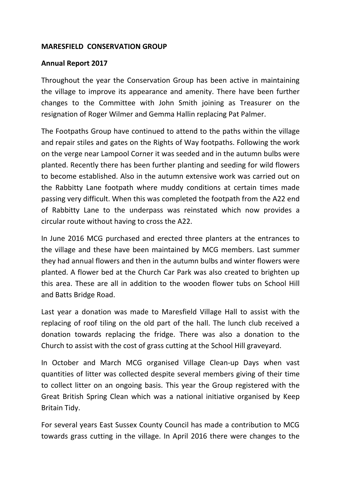## **MARESFIELD CONSERVATION GROUP**

## **Annual Report 2017**

Throughout the year the Conservation Group has been active in maintaining the village to improve its appearance and amenity. There have been further changes to the Committee with John Smith joining as Treasurer on the resignation of Roger Wilmer and Gemma Hallin replacing Pat Palmer.

The Footpaths Group have continued to attend to the paths within the village and repair stiles and gates on the Rights of Way footpaths. Following the work on the verge near Lampool Corner it was seeded and in the autumn bulbs were planted. Recently there has been further planting and seeding for wild flowers to become established. Also in the autumn extensive work was carried out on the Rabbitty Lane footpath where muddy conditions at certain times made passing very difficult. When this was completed the footpath from the A22 end of Rabbitty Lane to the underpass was reinstated which now provides a circular route without having to cross the A22.

In June 2016 MCG purchased and erected three planters at the entrances to the village and these have been maintained by MCG members. Last summer they had annual flowers and then in the autumn bulbs and winter flowers were planted. A flower bed at the Church Car Park was also created to brighten up this area. These are all in addition to the wooden flower tubs on School Hill and Batts Bridge Road.

Last year a donation was made to Maresfield Village Hall to assist with the replacing of roof tiling on the old part of the hall. The lunch club received a donation towards replacing the fridge. There was also a donation to the Church to assist with the cost of grass cutting at the School Hill graveyard.

In October and March MCG organised Village Clean-up Days when vast quantities of litter was collected despite several members giving of their time to collect litter on an ongoing basis. This year the Group registered with the Great British Spring Clean which was a national initiative organised by Keep Britain Tidy.

For several years East Sussex County Council has made a contribution to MCG towards grass cutting in the village. In April 2016 there were changes to the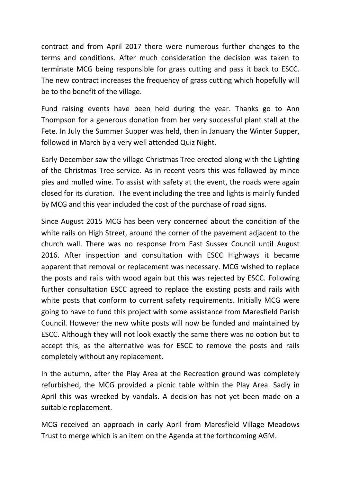contract and from April 2017 there were numerous further changes to the terms and conditions. After much consideration the decision was taken to terminate MCG being responsible for grass cutting and pass it back to ESCC. The new contract increases the frequency of grass cutting which hopefully will be to the benefit of the village.

Fund raising events have been held during the year. Thanks go to Ann Thompson for a generous donation from her very successful plant stall at the Fete. In July the Summer Supper was held, then in January the Winter Supper, followed in March by a very well attended Quiz Night.

Early December saw the village Christmas Tree erected along with the Lighting of the Christmas Tree service. As in recent years this was followed by mince pies and mulled wine. To assist with safety at the event, the roads were again closed for its duration. The event including the tree and lights is mainly funded by MCG and this year included the cost of the purchase of road signs.

Since August 2015 MCG has been very concerned about the condition of the white rails on High Street, around the corner of the pavement adjacent to the church wall. There was no response from East Sussex Council until August 2016. After inspection and consultation with ESCC Highways it became apparent that removal or replacement was necessary. MCG wished to replace the posts and rails with wood again but this was rejected by ESCC. Following further consultation ESCC agreed to replace the existing posts and rails with white posts that conform to current safety requirements. Initially MCG were going to have to fund this project with some assistance from Maresfield Parish Council. However the new white posts will now be funded and maintained by ESCC. Although they will not look exactly the same there was no option but to accept this, as the alternative was for ESCC to remove the posts and rails completely without any replacement.

In the autumn, after the Play Area at the Recreation ground was completely refurbished, the MCG provided a picnic table within the Play Area. Sadly in April this was wrecked by vandals. A decision has not yet been made on a suitable replacement.

MCG received an approach in early April from Maresfield Village Meadows Trust to merge which is an item on the Agenda at the forthcoming AGM.